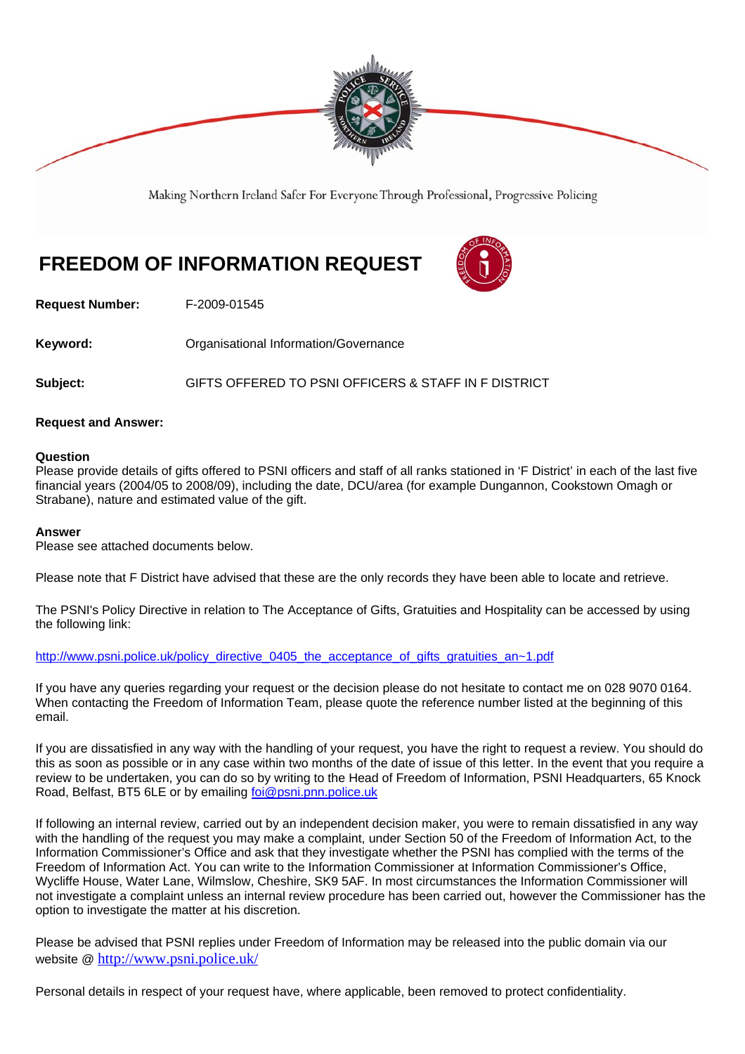

Making Northern Ireland Safer For Everyone Through Professional, Progressive Policing

# **FREEDOM OF INFORMATION REQUEST**



**Request Number:** F-2009-01545

**Keyword: Communistry Communistional Information/Governance** 

**Subject:** GIFTS OFFERED TO PSNI OFFICERS & STAFF IN F DISTRICT

## **Request and Answer:**

### **Question**

Please provide details of gifts offered to PSNI officers and staff of all ranks stationed in 'F District' in each of the last five financial years (2004/05 to 2008/09), including the date, DCU/area (for example Dungannon, Cookstown Omagh or Strabane), nature and estimated value of the gift.

### **Answer**

Please see attached documents below.

Please note that F District have advised that these are the only records they have been able to locate and retrieve.

The PSNI's Policy Directive in relation to The Acceptance of Gifts, Gratuities and Hospitality can be accessed by using the following link:

http://www.psni.police.uk/policy\_directive\_0405\_the\_acceptance\_of\_gifts\_gratuities\_an~1.pdf

If you have any queries regarding your request or the decision please do not hesitate to contact me on 028 9070 0164. When contacting the Freedom of Information Team, please quote the reference number listed at the beginning of this email.

If you are dissatisfied in any way with the handling of your request, you have the right to request a review. You should do this as soon as possible or in any case within two months of the date of issue of this letter. In the event that you require a review to be undertaken, you can do so by writing to the Head of Freedom of Information, PSNI Headquarters, 65 Knock Road, Belfast, BT5 6LE or by emailing foi@psni.pnn.police.uk

If following an internal review, carried out by an independent decision maker, you were to remain dissatisfied in any way with the handling of the request you may make a complaint, under Section 50 of the Freedom of Information Act, to the Information Commissioner's Office and ask that they investigate whether the PSNI has complied with the terms of the Freedom of Information Act. You can write to the Information Commissioner at Information Commissioner's Office, Wycliffe House, Water Lane, Wilmslow, Cheshire, SK9 5AF. In most circumstances the Information Commissioner will not investigate a complaint unless an internal review procedure has been carried out, however the Commissioner has the option to investigate the matter at his discretion.

Please be advised that PSNI replies under Freedom of Information may be released into the public domain via our website @ http://www.psni.police.uk/

Personal details in respect of your request have, where applicable, been removed to protect confidentiality.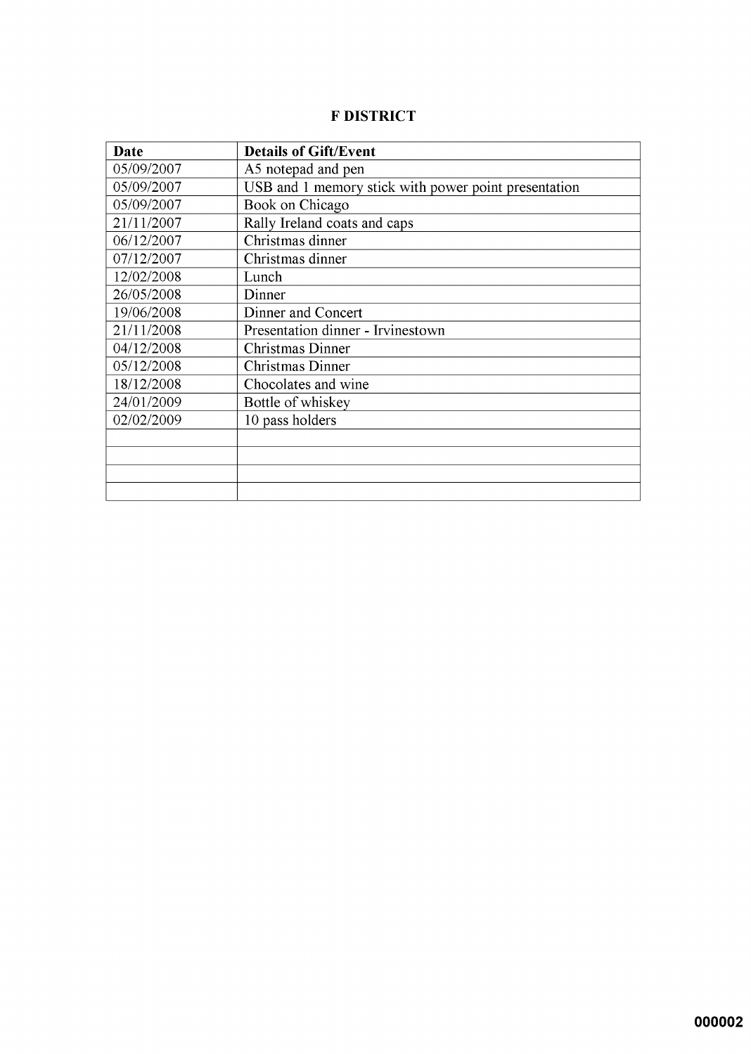# **F DISTRICT**

| Date       | <b>Details of Gift/Event</b>                         |
|------------|------------------------------------------------------|
| 05/09/2007 | A5 notepad and pen                                   |
| 05/09/2007 | USB and 1 memory stick with power point presentation |
| 05/09/2007 | Book on Chicago                                      |
| 21/11/2007 | Rally Ireland coats and caps                         |
| 06/12/2007 | Christmas dinner                                     |
| 07/12/2007 | Christmas dinner                                     |
| 12/02/2008 | Lunch                                                |
| 26/05/2008 | Dinner                                               |
| 19/06/2008 | Dinner and Concert                                   |
| 21/11/2008 | Presentation dinner - Irvinestown                    |
| 04/12/2008 | Christmas Dinner                                     |
| 05/12/2008 | <b>Christmas Dinner</b>                              |
| 18/12/2008 | Chocolates and wine                                  |
| 24/01/2009 | Bottle of whiskey                                    |
| 02/02/2009 | 10 pass holders                                      |
|            |                                                      |
|            |                                                      |
|            |                                                      |
|            |                                                      |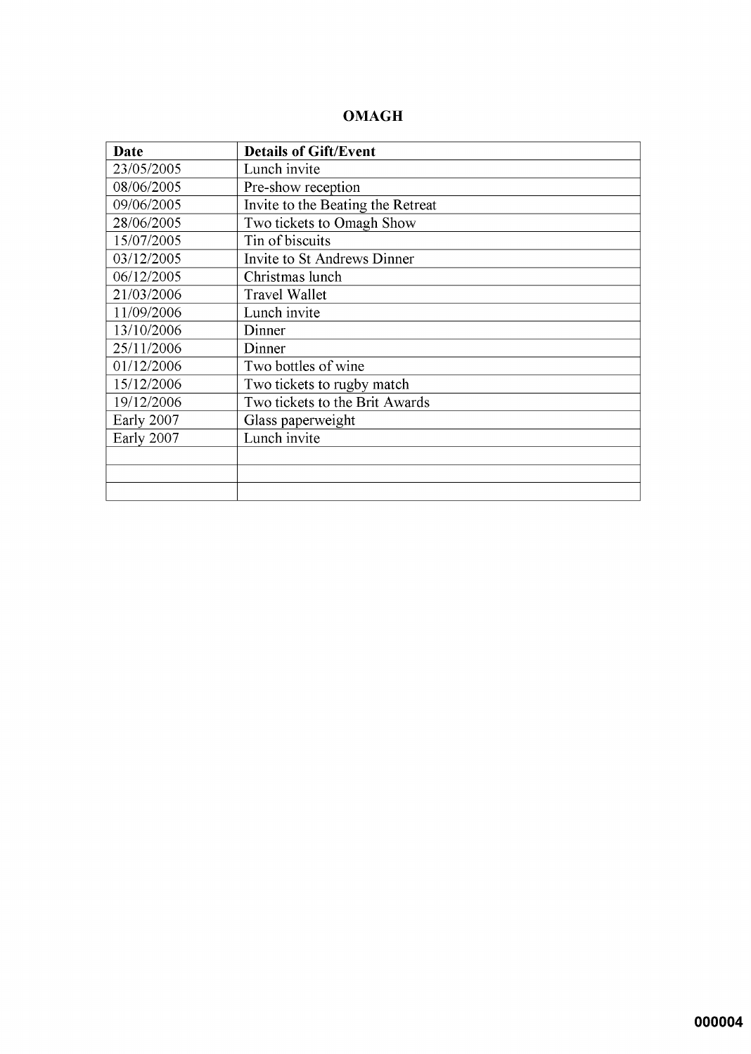## **OMAGH**

| <b>Date</b> | <b>Details of Gift/Event</b>      |
|-------------|-----------------------------------|
| 23/05/2005  | Lunch invite                      |
| 08/06/2005  | Pre-show reception                |
| 09/06/2005  | Invite to the Beating the Retreat |
| 28/06/2005  | Two tickets to Omagh Show         |
| 15/07/2005  | Tin of biscuits                   |
| 03/12/2005  | Invite to St Andrews Dinner       |
| 06/12/2005  | Christmas lunch                   |
| 21/03/2006  | <b>Travel Wallet</b>              |
| 11/09/2006  | Lunch invite                      |
| 13/10/2006  | Dinner                            |
| 25/11/2006  | Dinner                            |
| 01/12/2006  | Two bottles of wine               |
| 15/12/2006  | Two tickets to rugby match        |
| 19/12/2006  | Two tickets to the Brit Awards    |
| Early 2007  | Glass paperweight                 |
| Early 2007  | Lunch invite                      |
|             |                                   |
|             |                                   |
|             |                                   |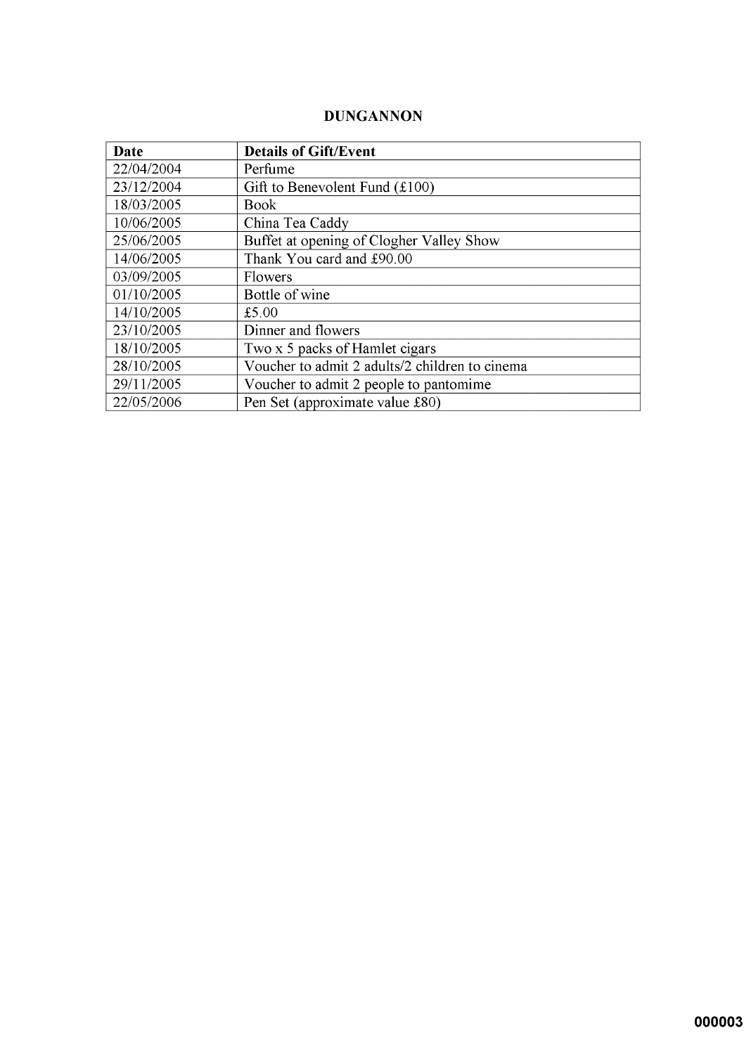## **DUNGANNON**

| <b>Date</b> | <b>Details of Gift/Event</b>                   |
|-------------|------------------------------------------------|
| 22/04/2004  | Perfume                                        |
| 23/12/2004  | Gift to Benevolent Fund $(\text{\pounds}100)$  |
| 18/03/2005  | <b>Book</b>                                    |
| 10/06/2005  | China Tea Caddy                                |
| 25/06/2005  | Buffet at opening of Clogher Valley Show       |
| 14/06/2005  | Thank You card and £90.00                      |
| 03/09/2005  | <b>Flowers</b>                                 |
| 01/10/2005  | Bottle of wine                                 |
| 14/10/2005  | £5.00                                          |
| 23/10/2005  | Dinner and flowers                             |
| 18/10/2005  | Two x 5 packs of Hamlet cigars                 |
| 28/10/2005  | Voucher to admit 2 adults/2 children to cinema |
| 29/11/2005  | Voucher to admit 2 people to pantomime         |
| 22/05/2006  | Pen Set (approximate value £80)                |